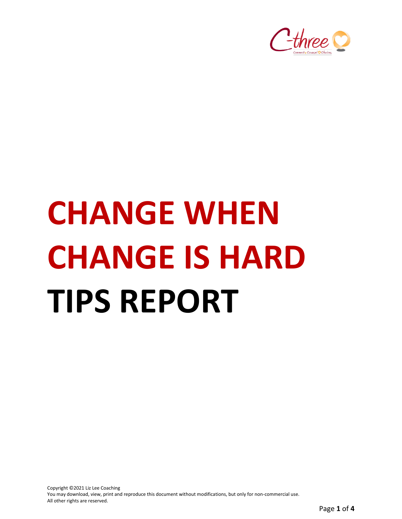

# **CHANGE WHEN CHANGE IS HARD TIPS REPORT**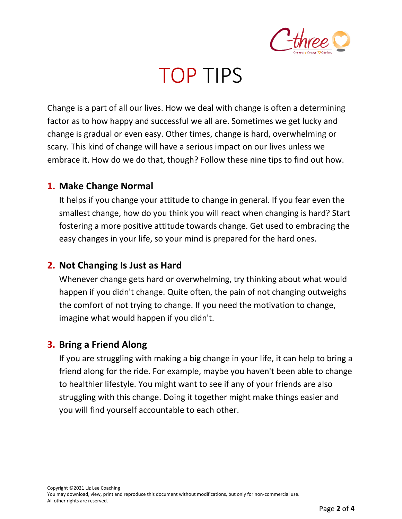

### TOP TIPS

Change is a part of all our lives. How we deal with change is often a determining factor as to how happy and successful we all are. Sometimes we get lucky and change is gradual or even easy. Other times, change is hard, overwhelming or scary. This kind of change will have a serious impact on our lives unless we embrace it. How do we do that, though? Follow these nine tips to find out how.

#### **1. Make Change Normal**

It helps if you change your attitude to change in general. If you fear even the smallest change, how do you think you will react when changing is hard? Start fostering a more positive attitude towards change. Get used to embracing the easy changes in your life, so your mind is prepared for the hard ones.

#### **2. Not Changing Is Just as Hard**

Whenever change gets hard or overwhelming, try thinking about what would happen if you didn't change. Quite often, the pain of not changing outweighs the comfort of not trying to change. If you need the motivation to change, imagine what would happen if you didn't.

#### **3. Bring a Friend Along**

If you are struggling with making a big change in your life, it can help to bring a friend along for the ride. For example, maybe you haven't been able to change to healthier lifestyle. You might want to see if any of your friends are also struggling with this change. Doing it together might make things easier and you will find yourself accountable to each other.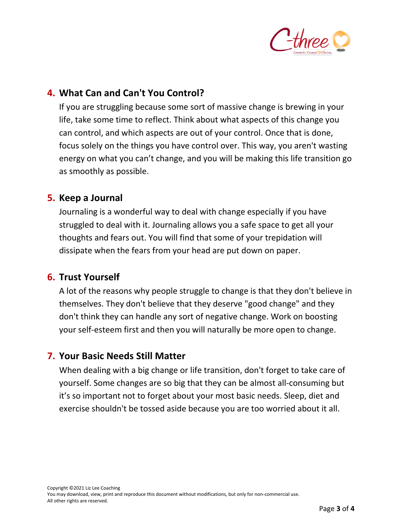

#### **4. What Can and Can't You Control?**

If you are struggling because some sort of massive change is brewing in your life, take some time to reflect. Think about what aspects of this change you can control, and which aspects are out of your control. Once that is done, focus solely on the things you have control over. This way, you aren't wasting energy on what you can't change, and you will be making this life transition go as smoothly as possible.

#### **5. Keep a Journal**

Journaling is a wonderful way to deal with change especially if you have struggled to deal with it. Journaling allows you a safe space to get all your thoughts and fears out. You will find that some of your trepidation will dissipate when the fears from your head are put down on paper.

#### **6. Trust Yourself**

A lot of the reasons why people struggle to change is that they don't believe in themselves. They don't believe that they deserve "good change" and they don't think they can handle any sort of negative change. Work on boosting your self-esteem first and then you will naturally be more open to change.

#### **7. Your Basic Needs Still Matter**

When dealing with a big change or life transition, don't forget to take care of yourself. Some changes are so big that they can be almost all-consuming but it's so important not to forget about your most basic needs. Sleep, diet and exercise shouldn't be tossed aside because you are too worried about it all.